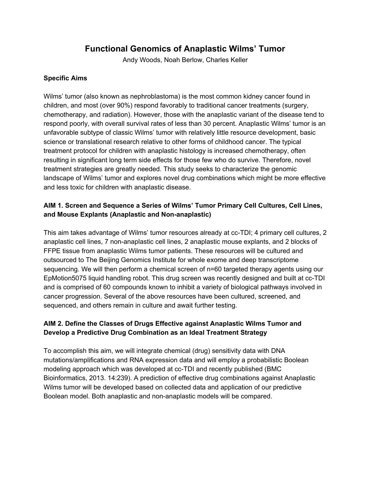# **Functional Genomics of Anaplastic Wilms' Tumor**

Andy Woods, Noah Berlow, Charles Keller

#### **Specific Aims**

Wilms' tumor (also known as nephroblastoma) is the most common kidney cancer found in children, and most (over 90%) respond favorably to traditional cancer treatments (surgery, chemotherapy, and radiation). However, those with the anaplastic variant of the disease tend to respond poorly, with overall survival rates of less than 30 percent. Anaplastic Wilms' tumor is an unfavorable subtype of classic Wilms' tumor with relatively little resource development, basic science or translational research relative to other forms of childhood cancer. The typical treatment protocol for children with anaplastic histology is increased chemotherapy, often resulting in significant long term side effects for those few who do survive. Therefore, novel treatment strategies are greatly needed. This study seeks to characterize the genomic landscape of Wilms' tumor and explores novel drug combinations which might be more effective and less toxic for children with anaplastic disease.

## **AIM 1. Screen and Sequence a Series of Wilms' Tumor Primary Cell Cultures, Cell Lines, and Mouse Explants (Anaplastic and Non-anaplastic)**

This aim takes advantage of Wilms' tumor resources already at cc-TDI; 4 primary cell cultures, 2 anaplastic cell lines, 7 non-anaplastic cell lines, 2 anaplastic mouse explants, and 2 blocks of FFPE tissue from anaplastic Wilms tumor patients. These resources will be cultured and outsourced to The Beijing Genomics Institute for whole exome and deep transcriptome sequencing. We will then perform a chemical screen of n=60 targeted therapy agents using our EpMotion5075 liquid handling robot. This drug screen was recently designed and built at cc-TDI and is comprised of 60 compounds known to inhibit a variety of biological pathways involved in cancer progression. Several of the above resources have been cultured, screened, and sequenced, and others remain in culture and await further testing.

## **AIM 2. Define the Classes of Drugs Effective against Anaplastic Wilms Tumor and Develop a Predictive Drug Combination as an Ideal Treatment Strategy**

To accomplish this aim, we will integrate chemical (drug) sensitivity data with DNA mutations/amplifications and RNA expression data and will employ a probabilistic Boolean modeling approach which was developed at cc-TDI and recently published (BMC Bioinformatics, 2013. 14:239). A prediction of effective drug combinations against Anaplastic Wilms tumor will be developed based on collected data and application of our predictive Boolean model. Both anaplastic and non-anaplastic models will be compared.